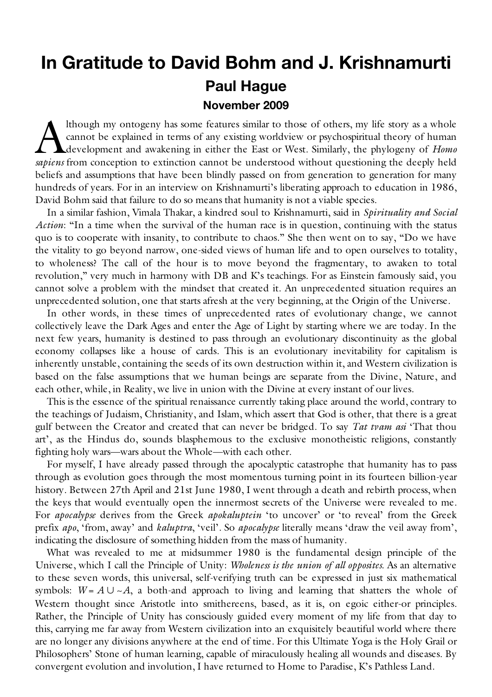# **In Gratitude to David Bohm and J. Krishnamurti Paul Hague November 2009**

lthough my ontogeny has some features similar to those of others, my life story as a whole cannot be explained in terms of any existing worldview or psychospiritual theory of human development and awakening in either the East or West. Similarly, the phylogeny of *Homo*  Ithough my ontogeny has some features similar to those of others, my life story as a whole<br>cannot be explained in terms of any existing worldview or psychospiritual theory of human<br>development and awakening in either the E beliefs and assumptions that have been blindly passed on from generation to generation for many hundreds of years. For in an interview on Krishnamurti's liberating approach to education in 1986, David Bohm said that failure to do so means that humanity is not a viable species.

In a similar fashion, Vimala Thakar, a kindred soul to Krishnamurti, said in *Spirituality and Social Action*: "In a time when the survival of the human race is in question, continuing with the status quo is to cooperate with insanity, to contribute to chaos." She then went on to say, "Do we have the vitality to go beyond narrow, one-sided views of human life and to open ourselves to totality, to wholeness? The call of the hour is to move beyond the fragmentary, to awaken to total revolution," very much in harmony with DB and K's teachings. For as Einstein famously said, you cannot solve a problem with the mindset that created it. An unprecedented situation requires an unprecedented solution, one that starts afresh at the very beginning, at the Origin of the Universe.

In other words, in these times of unprecedented rates of evolutionary change, we cannot collectively leave the Dark Ages and enter the Age of Light by starting where we are today. In the next few years, humanity is destined to pass through an evolutionary discontinuity as the global economy collapses like a house of cards. This is an evolutionary inevitability for capitalism is inherently unstable, containing the seeds of its own destruction within it, and Western civilization is based on the false assumptions that we human beings are separate from the Divine, Nature, and each other, while, in Reality, we live in union with the Divine at every instant of our lives.

This is the essence of the spiritual renaissance currently taking place around the world, contrary to the teachings of Judaism, Christianity, and Islam, which assert that God is other, that there is a great gulf between the Creator and created that can never be bridged. To say *Tat tvam asi* 'That thou art', as the Hindus do, sounds blasphemous to the exclusive monotheistic religions, constantly fighting holy wars—wars about the Whole—with each other.

For myself, I have already passed through the apocalyptic catastrophe that humanity has to pass through as evolution goes through the most momentous turning point in its fourteen billion-year history. Between 27th April and 21st June 1980, I went through a death and rebirth process, when the keys that would eventually open the innermost secrets of the Universe were revealed to me. For *apocalypse* derives from the Greek *apokaluptein* 'to uncover' or 'to reveal' from the Greek prefix *apo*, 'from, away' and *kaluptra*, 'veil'. So *apocalypse* literally means 'draw the veil away from', indicating the disclosure of something hidden from the mass of humanity.

What was revealed to me at midsummer 1980 is the fundamental design principle of the Universe, which I call the Principle of Unity: *Wholeness is the union of all opposites*. As an alternative to these seven words, this universal, self-verifying truth can be expressed in just six mathematical symbols:  $W = A \cup \sim A$ , a both-and approach to living and learning that shatters the whole of Western thought since Aristotle into smithereens, based, as it is, on egoic either-or principles. Rather, the Principle of Unity has consciously guided every moment of my life from that day to this, carrying me far away from Western civilization into an exquisitely beautiful world where there are no longer any divisions anywhere at the end of time. For this Ultimate Yoga is the Holy Grail or Philosophers' Stone of human learning, capable of miraculously healing all wounds and diseases. By convergent evolution and involution, I have returned to Home to Paradise, K's Pathless Land.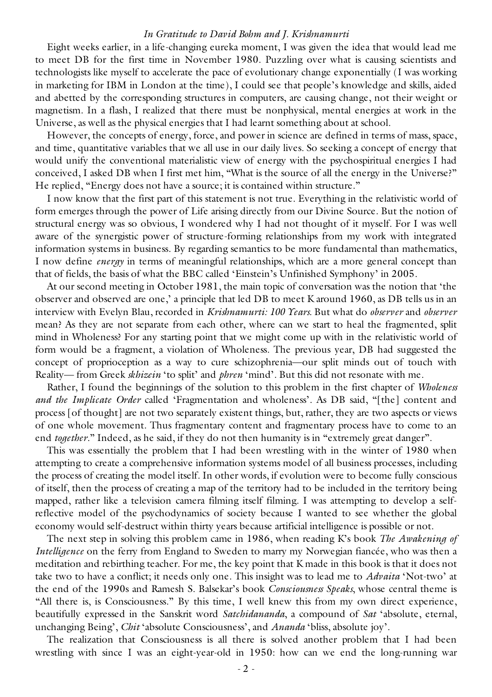Eight weeks earlier, in a life-changing eureka moment, I was given the idea that would lead me to meet DB for the first time in November 1980. Puzzling over what is causing scientists and technologists like myself to accelerate the pace of evolutionary change exponentially (I was working in marketing for IBM in London at the time), I could see that people's knowledge and skills, aided and abetted by the corresponding structures in computers, are causing change, not their weight or magnetism. In a flash, I realized that there must be nonphysical, mental energies at work in the Universe, as well as the physical energies that I had learnt something about at school.

However, the concepts of energy, force, and power in science are defined in terms of mass, space, and time, quantitative variables that we all use in our daily lives. So seeking a concept of energy that would unify the conventional materialistic view of energy with the psychospiritual energies I had conceived, I asked DB when I first met him, "What is the source of all the energy in the Universe?" He replied, "Energy does not have a source; it is contained within structure."

I now know that the first part of this statement is not true. Everything in the relativistic world of form emerges through the power of Life arising directly from our Divine Source. But the notion of structural energy was so obvious, I wondered why I had not thought of it myself. For I was well aware of the synergistic power of structure-forming relationships from my work with integrated information systems in business. By regarding semantics to be more fundamental than mathematics, I now define *energy* in terms of meaningful relationships, which are a more general concept than that of fields, the basis of what the BBC called 'Einstein's Unfinished Symphony' in 2005.

At our second meeting in October 1981, the main topic of conversation was the notion that 'the observer and observed are one,' a principle that led DB to meet K around 1960, as DB tells us in an interview with Evelyn Blau, recorded in *Krishnamurti: 100 Years*. But what do *observer* and *observer* mean? As they are not separate from each other, where can we start to heal the fragmented, split mind in Wholeness? For any starting point that we might come up with in the relativistic world of form would be a fragment, a violation of Wholeness. The previous year, DB had suggested the concept of proprioception as a way to cure schizophrenia—our split minds out of touch with Reality— from Greek *skhizein* 'to split' and *phren* 'mind'. But this did not resonate with me.

Rather, I found the beginnings of the solution to this problem in the first chapter of *Wholeness and the Implicate Order* called 'Fragmentation and wholeness'. As DB said, "[the] content and process [of thought] are not two separately existent things, but, rather, they are two aspects or views of one whole movement. Thus fragmentary content and fragmentary process have to come to an end *together*." Indeed, as he said, if they do not then humanity is in "extremely great danger".

This was essentially the problem that I had been wrestling with in the winter of 1980 when attempting to create a comprehensive information systems model of all business processes, including the process of creating the model itself. In other words, if evolution were to become fully conscious of itself, then the process of creating a map of the territory had to be included in the territory being mapped, rather like a television camera filming itself filming. I was attempting to develop a selfreflective model of the psychodynamics of society because I wanted to see whether the global economy would self-destruct within thirty years because artificial intelligence is possible or not.

The next step in solving this problem came in 1986, when reading K's book *The Awakening of Intelligence* on the ferry from England to Sweden to marry my Norwegian fiancée, who was then a meditation and rebirthing teacher. For me, the key point that K made in this book is that it does not take two to have a conflict; it needs only one. This insight was to lead me to *Advaita* 'Not-two' at the end of the 1990s and Ramesh S. Balsekar's book *Consciousness Speaks*, whose central theme is "All there is, is Consciousness." By this time, I well knew this from my own direct experience, beautifully expressed in the Sanskrit word *Satchidananda*, a compound of *Sat* 'absolute, eternal, unchanging Being', *Chit* 'absolute Consciousness', and *Ananda* 'bliss, absolute joy'.

The realization that Consciousness is all there is solved another problem that I had been wrestling with since I was an eight-year-old in 1950: how can we end the long-running war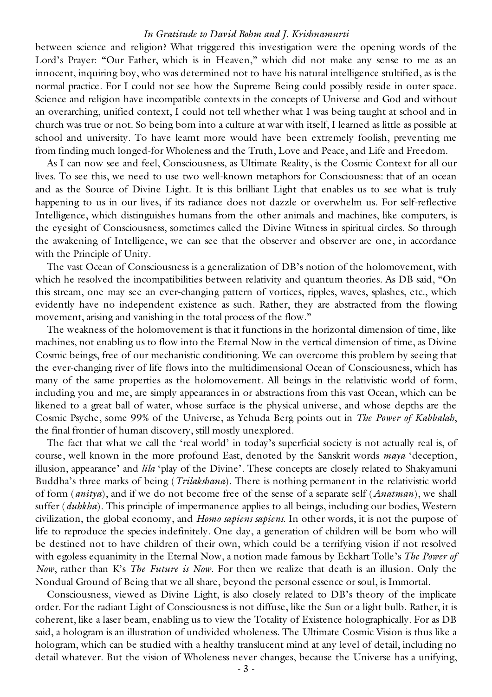between science and religion? What triggered this investigation were the opening words of the Lord's Prayer: "Our Father, which is in Heaven," which did not make any sense to me as an innocent, inquiring boy, who was determined not to have his natural intelligence stultified, as is the normal practice. For I could not see how the Supreme Being could possibly reside in outer space. Science and religion have incompatible contexts in the concepts of Universe and God and without an overarching, unified context, I could not tell whether what I was being taught at school and in church was true or not. So being born into a culture at war with itself, I learned as little as possible at school and university. To have learnt more would have been extremely foolish, preventing me from finding much longed-for Wholeness and the Truth, Love and Peace, and Life and Freedom.

As I can now see and feel, Consciousness, as Ultimate Reality, is the Cosmic Context for all our lives. To see this, we need to use two well-known metaphors for Consciousness: that of an ocean and as the Source of Divine Light. It is this brilliant Light that enables us to see what is truly happening to us in our lives, if its radiance does not dazzle or overwhelm us. For self-reflective Intelligence, which distinguishes humans from the other animals and machines, like computers, is the eyesight of Consciousness, sometimes called the Divine Witness in spiritual circles. So through the awakening of Intelligence, we can see that the observer and observer are one, in accordance with the Principle of Unity.

The vast Ocean of Consciousness is a generalization of DB's notion of the holomovement, with which he resolved the incompatibilities between relativity and quantum theories. As DB said, "On this stream, one may see an ever-changing pattern of vortices, ripples, waves, splashes, etc., which evidently have no independent existence as such. Rather, they are abstracted from the flowing movement, arising and vanishing in the total process of the flow."

The weakness of the holomovement is that it functions in the horizontal dimension of time, like machines, not enabling us to flow into the Eternal Now in the vertical dimension of time, as Divine Cosmic beings, free of our mechanistic conditioning. We can overcome this problem by seeing that the ever-changing river of life flows into the multidimensional Ocean of Consciousness, which has many of the same properties as the holomovement. All beings in the relativistic world of form, including you and me, are simply appearances in or abstractions from this vast Ocean, which can be likened to a great ball of water, whose surface is the physical universe, and whose depths are the Cosmic Psyche, some 99% of the Universe, as Yehuda Berg points out in *The Power of Kabbalah*, the final frontier of human discovery, still mostly unexplored.

The fact that what we call the 'real world' in today's superficial society is not actually real is, of course, well known in the more profound East, denoted by the Sanskrit words *maya* 'deception, illusion, appearance' and *lila* 'play of the Divine'. These concepts are closely related to Shakyamuni Buddha's three marks of being (*Trilakshana*). There is nothing permanent in the relativistic world of form (*anitya*), and if we do not become free of the sense of a separate self (*Anatman*), we shall suffer (*duhkha*). This principle of impermanence applies to all beings, including our bodies, Western civilization, the global economy, and *Homo sapiens sapiens*. In other words, it is not the purpose of life to reproduce the species indefinitely. One day, a generation of children will be born who will be destined not to have children of their own, which could be a terrifying vision if not resolved with egoless equanimity in the Eternal Now, a notion made famous by Eckhart Tolle's *The Power of Now*, rather than K's *The Future is Now*. For then we realize that death is an illusion. Only the Nondual Ground of Being that we all share, beyond the personal essence or soul, is Immortal.

Consciousness, viewed as Divine Light, is also closely related to DB's theory of the implicate order. For the radiant Light of Consciousness is not diffuse, like the Sun or a light bulb. Rather, it is coherent, like a laser beam, enabling us to view the Totality of Existence holographically. For as DB said, a hologram is an illustration of undivided wholeness. The Ultimate Cosmic Vision is thus like a hologram, which can be studied with a healthy translucent mind at any level of detail, including no detail whatever. But the vision of Wholeness never changes, because the Universe has a unifying,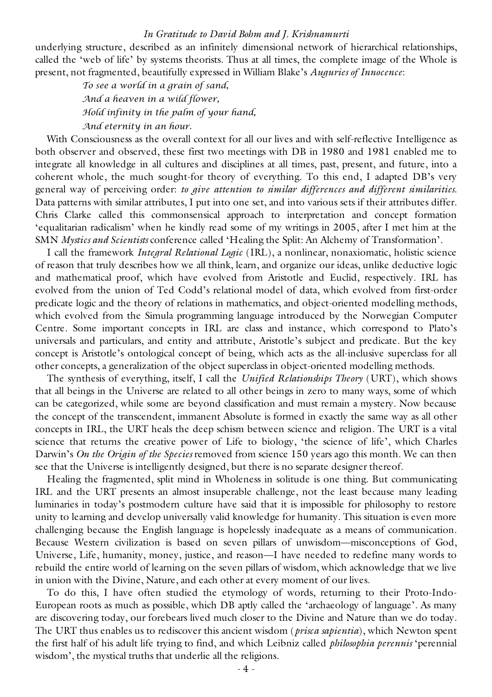underlying structure, described as an infinitely dimensional network of hierarchical relationships, called the 'web of life' by systems theorists. Thus at all times, the complete image of the Whole is present, not fragmented, beautifully expressed in William Blake's *Auguries of Innocence*:

> *To see a world in a grain of sand, And a heaven in a wild flower, Hold infinity in the palm of your hand, And eternity in an hour.*

With Consciousness as the overall context for all our lives and with self-reflective Intelligence as both observer and observed, these first two meetings with DB in 1980 and 1981 enabled me to integrate all knowledge in all cultures and disciplines at all times, past, present, and future, into a coherent whole, the much sought-for theory of everything. To this end, I adapted DB's very general way of perceiving order: *to give attention to similar differences and different similarities*. Data patterns with similar attributes, I put into one set, and into various sets if their attributes differ. Chris Clarke called this commonsensical approach to interpretation and concept formation 'equalitarian radicalism' when he kindly read some of my writings in 2005, after I met him at the SMN *Mystics and Scientists* conference called 'Healing the Split: An Alchemy of Transformation'.

I call the framework *Integral Relational Logic* (IRL), a nonlinear, nonaxiomatic, holistic science of reason that truly describes how we all think, learn, and organize our ideas, unlike deductive logic and mathematical proof, which have evolved from Aristotle and Euclid, respectively. IRL has evolved from the union of Ted Codd's relational model of data, which evolved from first-order predicate logic and the theory of relations in mathematics, and object-oriented modelling methods, which evolved from the Simula programming language introduced by the Norwegian Computer Centre. Some important concepts in IRL are class and instance, which correspond to Plato's universals and particulars, and entity and attribute, Aristotle's subject and predicate. But the key concept is Aristotle's ontological concept of being, which acts as the all-inclusive superclass for all other concepts, a generalization of the object superclass in object-oriented modelling methods.

The synthesis of everything, itself, I call the *Unified Relationships Theory* (URT), which shows that all beings in the Universe are related to all other beings in zero to many ways, some of which can be categorized, while some are beyond classification and must remain a mystery. Now because the concept of the transcendent, immanent Absolute is formed in exactly the same way as all other concepts in IRL, the URT heals the deep schism between science and religion. The URT is a vital science that returns the creative power of Life to biology, 'the science of life', which Charles Darwin's *On the Origin of the Species* removed from science 150 years ago this month. We can then see that the Universe is intelligently designed, but there is no separate designer thereof.

Healing the fragmented, split mind in Wholeness in solitude is one thing. But communicating IRL and the URT presents an almost insuperable challenge, not the least because many leading luminaries in today's postmodern culture have said that it is impossible for philosophy to restore unity to learning and develop universally valid knowledge for humanity. This situation is even more challenging because the English language is hopelessly inadequate as a means of communication. Because Western civilization is based on seven pillars of unwisdom—misconceptions of God, Universe, Life, humanity, money, justice, and reason—I have needed to redefine many words to rebuild the entire world of learning on the seven pillars of wisdom, which acknowledge that we live in union with the Divine, Nature, and each other at every moment of our lives.

To do this, I have often studied the etymology of words, returning to their Proto-Indo-European roots as much as possible, which DB aptly called the 'archaeology of language'. As many are discovering today, our forebears lived much closer to the Divine and Nature than we do today. The URT thus enables us to rediscover this ancient wisdom (*prisca sapientia*), which Newton spent the first half of his adult life trying to find, and which Leibniz called *philosophia perennis* 'perennial wisdom', the mystical truths that underlie all the religions.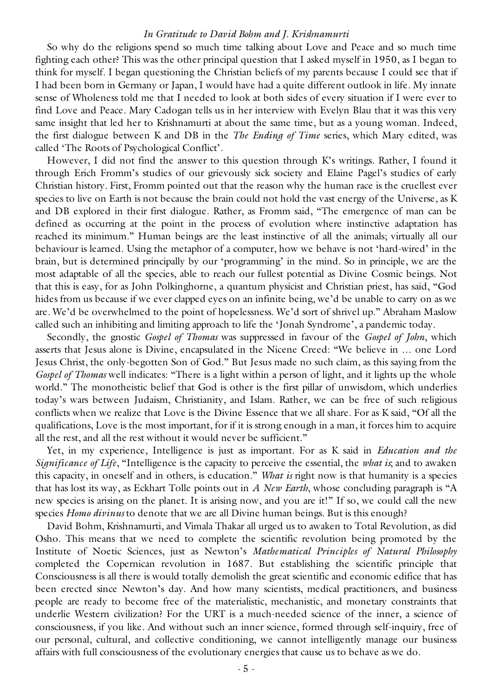So why do the religions spend so much time talking about Love and Peace and so much time fighting each other? This was the other principal question that I asked myself in 1950, as I began to think for myself. I began questioning the Christian beliefs of my parents because I could see that if I had been born in Germany or Japan, I would have had a quite different outlook in life. My innate sense of Wholeness told me that I needed to look at both sides of every situation if I were ever to find Love and Peace. Mary Cadogan tells us in her interview with Evelyn Blau that it was this very same insight that led her to Krishnamurti at about the same time, but as a young woman. Indeed, the first dialogue between K and DB in the *The Ending of Time* series, which Mary edited, was called 'The Roots of Psychological Conflict'.

However, I did not find the answer to this question through K's writings. Rather, I found it through Erich Fromm's studies of our grievously sick society and Elaine Pagel's studies of early Christian history. First, Fromm pointed out that the reason why the human race is the cruellest ever species to live on Earth is not because the brain could not hold the vast energy of the Universe, as K and DB explored in their first dialogue. Rather, as Fromm said, "The emergence of man can be defined as occurring at the point in the process of evolution where instinctive adaptation has reached its minimum." Human beings are the least instinctive of all the animals; virtually all our behaviour is learned. Using the metaphor of a computer, how we behave is not 'hard-wired' in the brain, but is determined principally by our 'programming' in the mind. So in principle, we are the most adaptable of all the species, able to reach our fullest potential as Divine Cosmic beings. Not that this is easy, for as John Polkinghorne, a quantum physicist and Christian priest, has said, "God hides from us because if we ever clapped eyes on an infinite being, we'd be unable to carry on as we are. We'd be overwhelmed to the point of hopelessness. We'd sort of shrivel up." Abraham Maslow called such an inhibiting and limiting approach to life the 'Jonah Syndrome', a pandemic today.

Secondly, the gnostic *Gospel of Thomas* was suppressed in favour of the *Gospel of John*, which asserts that Jesus alone is Divine, encapsulated in the Nicene Creed: "We believe in … one Lord Jesus Christ, the only-begotten Son of God." But Jesus made no such claim, as this saying from the *Gospel of Thomas* well indicates: "There is a light within a person of light, and it lights up the whole world." The monotheistic belief that God is other is the first pillar of unwisdom, which underlies today's wars between Judaism, Christianity, and Islam. Rather, we can be free of such religious conflicts when we realize that Love is the Divine Essence that we all share. For as K said, "Of all the qualifications, Love is the most important, for if it is strong enough in a man, it forces him to acquire all the rest, and all the rest without it would never be sufficient."

Yet, in my experience, Intelligence is just as important. For as K said in *Education and the Significance of Life*, "Intelligence is the capacity to perceive the essential, the *what is*; and to awaken this capacity, in oneself and in others, is education." *What is* right now is that humanity is a species that has lost its way, as Eckhart Tolle points out in *A New Earth*, whose concluding paragraph is "A new species is arising on the planet. It is arising now, and you are it!" If so, we could call the new species *Homo divinus* to denote that we are all Divine human beings. But is this enough?

David Bohm, Krishnamurti, and Vimala Thakar all urged us to awaken to Total Revolution, as did Osho. This means that we need to complete the scientific revolution being promoted by the Institute of Noetic Sciences, just as Newton's *Mathematical Principles of Natural Philosophy* completed the Copernican revolution in 1687. But establishing the scientific principle that Consciousness is all there is would totally demolish the great scientific and economic edifice that has been erected since Newton's day. And how many scientists, medical practitioners, and business people are ready to become free of the materialistic, mechanistic, and monetary constraints that underlie Western civilization? For the URT is a much-needed science of the inner, a science of consciousness, if you like. And without such an inner science, formed through self-inquiry, free of our personal, cultural, and collective conditioning, we cannot intelligently manage our business affairs with full consciousness of the evolutionary energies that cause us to behave as we do.